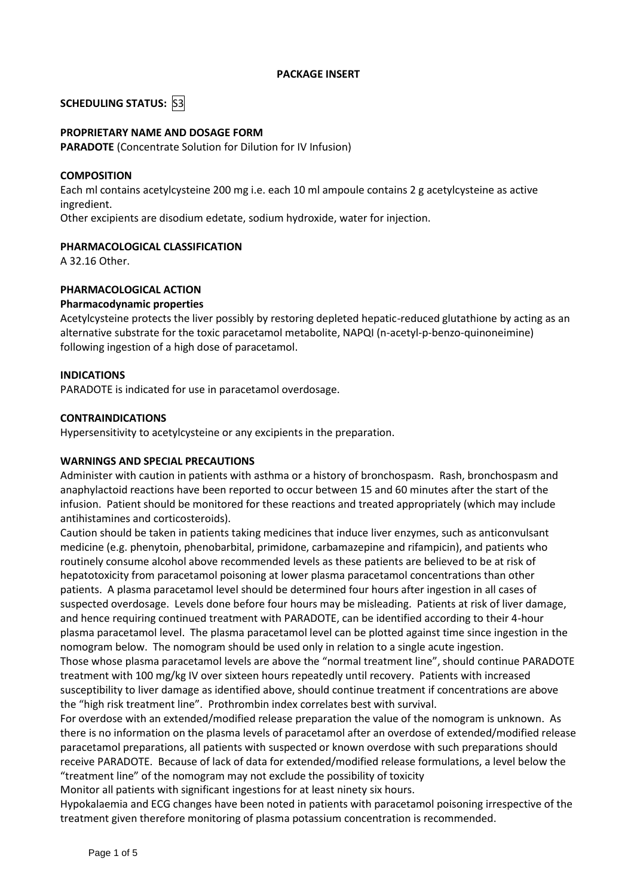### **PACKAGE INSERT**

# **SCHEDULING STATUS:** S3

# **PROPRIETARY NAME AND DOSAGE FORM**

**PARADOTE** (Concentrate Solution for Dilution for IV Infusion)

### **COMPOSITION**

Each ml contains acetylcysteine 200 mg i.e. each 10 ml ampoule contains 2 g acetylcysteine as active ingredient.

Other excipients are disodium edetate, sodium hydroxide, water for injection.

### **PHARMACOLOGICAL CLASSIFICATION**

A 32.16 Other.

### **PHARMACOLOGICAL ACTION**

### **Pharmacodynamic properties**

Acetylcysteine protects the liver possibly by restoring depleted hepatic-reduced glutathione by acting as an alternative substrate for the toxic paracetamol metabolite, NAPQI (n-acetyl-p-benzo-quinoneimine) following ingestion of a high dose of paracetamol.

### **INDICATIONS**

PARADOTE is indicated for use in paracetamol overdosage.

### **CONTRAINDICATIONS**

Hypersensitivity to acetylcysteine or any excipients in the preparation.

# **WARNINGS AND SPECIAL PRECAUTIONS**

Administer with caution in patients with asthma or a history of bronchospasm. Rash, bronchospasm and anaphylactoid reactions have been reported to occur between 15 and 60 minutes after the start of the infusion. Patient should be monitored for these reactions and treated appropriately (which may include antihistamines and corticosteroids).

Caution should be taken in patients taking medicines that induce liver enzymes, such as anticonvulsant medicine (e.g. phenytoin, phenobarbital, primidone, carbamazepine and rifampicin), and patients who routinely consume alcohol above recommended levels as these patients are believed to be at risk of hepatotoxicity from paracetamol poisoning at lower plasma paracetamol concentrations than other patients. A plasma paracetamol level should be determined four hours after ingestion in all cases of suspected overdosage. Levels done before four hours may be misleading. Patients at risk of liver damage, and hence requiring continued treatment with PARADOTE, can be identified according to their 4-hour plasma paracetamol level. The plasma paracetamol level can be plotted against time since ingestion in the nomogram below. The nomogram should be used only in relation to a single acute ingestion. Those whose plasma paracetamol levels are above the "normal treatment line", should continue PARADOTE treatment with 100 mg/kg IV over sixteen hours repeatedly until recovery. Patients with increased susceptibility to liver damage as identified above, should continue treatment if concentrations are above the "high risk treatment line". Prothrombin index correlates best with survival.

For overdose with an extended/modified release preparation the value of the nomogram is unknown. As there is no information on the plasma levels of paracetamol after an overdose of extended/modified release paracetamol preparations, all patients with suspected or known overdose with such preparations should receive PARADOTE. Because of lack of data for extended/modified release formulations, a level below the "treatment line" of the nomogram may not exclude the possibility of toxicity

Monitor all patients with significant ingestions for at least ninety six hours.

Hypokalaemia and ECG changes have been noted in patients with paracetamol poisoning irrespective of the treatment given therefore monitoring of plasma potassium concentration is recommended.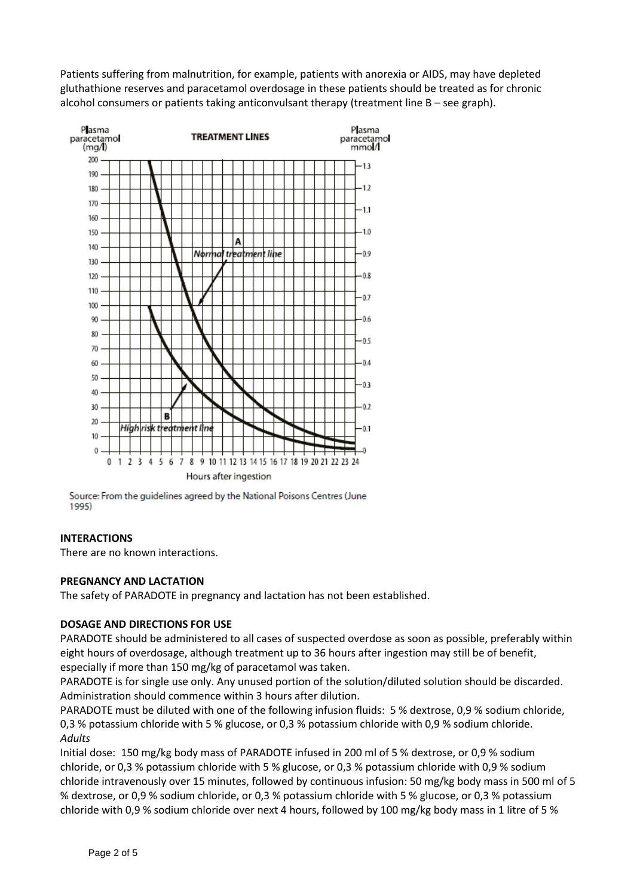Patients suffering from malnutrition, for example, patients with anorexia or AIDS, may have depleted gluthathione reserves and paracetamol overdosage in these patients should be treated as for chronic alcohol consumers or patients taking anticonvulsant therapy (treatment line B – see graph).



Source: From the guidelines agreed by the National Poisons Centres (June 1995)

# **INTERACTIONS**

There are no known interactions.

# **PREGNANCY AND LACTATION**

The safety of PARADOTE in pregnancy and lactation has not been established.

# **DOSAGE AND DIRECTIONS FOR USE**

PARADOTE should be administered to all cases of suspected overdose as soon as possible, preferably within eight hours of overdosage, although treatment up to 36 hours after ingestion may still be of benefit, especially if more than 150 mg/kg of paracetamol was taken.

PARADOTE is for single use only. Any unused portion of the solution/diluted solution should be discarded. Administration should commence within 3 hours after dilution.

PARADOTE must be diluted with one of the following infusion fluids: 5 % dextrose, 0,9 % sodium chloride, 0,3 % potassium chloride with 5 % glucose, or 0,3 % potassium chloride with 0,9 % sodium chloride. *Adults*

Initial dose: 150 mg/kg body mass of PARADOTE infused in 200 ml of 5 % dextrose, or 0,9 % sodium chloride, or 0,3 % potassium chloride with 5 % glucose, or 0,3 % potassium chloride with 0,9 % sodium chloride intravenously over 15 minutes, followed by continuous infusion: 50 mg/kg body mass in 500 ml of 5 % dextrose, or 0,9 % sodium chloride, or 0,3 % potassium chloride with 5 % glucose, or 0,3 % potassium chloride with 0,9 % sodium chloride over next 4 hours, followed by 100 mg/kg body mass in 1 litre of 5 %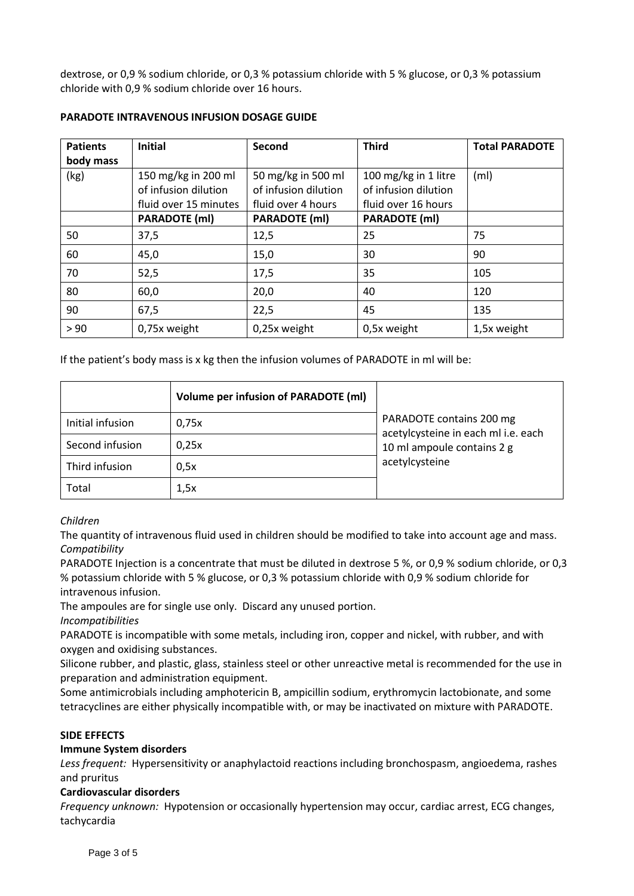dextrose, or 0,9 % sodium chloride, or 0,3 % potassium chloride with 5 % glucose, or 0,3 % potassium chloride with 0,9 % sodium chloride over 16 hours.

| <b>Patients</b> | <b>Initial</b>        | Second               | <b>Third</b>         | <b>Total PARADOTE</b> |
|-----------------|-----------------------|----------------------|----------------------|-----------------------|
| body mass       |                       |                      |                      |                       |
| (kg)            | 150 mg/kg in 200 ml   | 50 mg/kg in 500 ml   | 100 mg/kg in 1 litre | (m <sub>l</sub> )     |
|                 | of infusion dilution  | of infusion dilution | of infusion dilution |                       |
|                 | fluid over 15 minutes | fluid over 4 hours   | fluid over 16 hours  |                       |
|                 | <b>PARADOTE (ml)</b>  | <b>PARADOTE (ml)</b> | <b>PARADOTE (ml)</b> |                       |
| 50              | 37,5                  | 12,5                 | 25                   | 75                    |
| 60              | 45,0                  | 15,0                 | 30                   | 90                    |
| 70              | 52,5                  | 17,5                 | 35                   | 105                   |
| 80              | 60,0                  | 20,0                 | 40                   | 120                   |
| 90              | 67,5                  | 22,5                 | 45                   | 135                   |
| > 90            | 0,75x weight          | 0,25x weight         | 0,5x weight          | 1,5x weight           |

# **PARADOTE INTRAVENOUS INFUSION DOSAGE GUIDE**

If the patient's body mass is x kg then the infusion volumes of PARADOTE in ml will be:

|                  | <b>Volume per infusion of PARADOTE (ml)</b> |                                                                 |  |
|------------------|---------------------------------------------|-----------------------------------------------------------------|--|
| Initial infusion | 0,75x                                       | PARADOTE contains 200 mg<br>acetylcysteine in each ml i.e. each |  |
| Second infusion  | 0.25x                                       | 10 ml ampoule contains 2 g<br>acetylcysteine                    |  |
| Third infusion   | 0.5x                                        |                                                                 |  |
| Total            | 1,5x                                        |                                                                 |  |

# *Children*

The quantity of intravenous fluid used in children should be modified to take into account age and mass. *Compatibility*

PARADOTE Injection is a concentrate that must be diluted in dextrose 5 %, or 0,9 % sodium chloride, or 0,3 % potassium chloride with 5 % glucose, or 0,3 % potassium chloride with 0,9 % sodium chloride for intravenous infusion.

The ampoules are for single use only. Discard any unused portion.

*Incompatibilities*

PARADOTE is incompatible with some metals, including iron, copper and nickel, with rubber, and with oxygen and oxidising substances.

Silicone rubber, and plastic, glass, stainless steel or other unreactive metal is recommended for the use in preparation and administration equipment.

Some antimicrobials including amphotericin B, ampicillin sodium, erythromycin lactobionate, and some tetracyclines are either physically incompatible with, or may be inactivated on mixture with PARADOTE.

# **SIDE EFFECTS**

# **Immune System disorders**

*Less frequent:* Hypersensitivity or anaphylactoid reactions including bronchospasm, angioedema, rashes and pruritus

# **Cardiovascular disorders**

*Frequency unknown:* Hypotension or occasionally hypertension may occur, cardiac arrest, ECG changes, tachycardia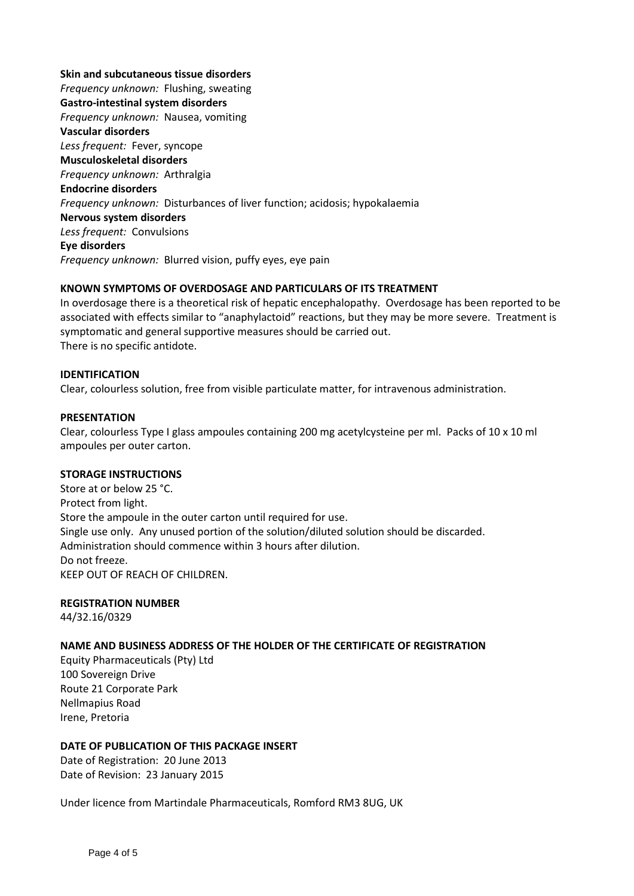**Skin and subcutaneous tissue disorders** *Frequency unknown:* Flushing, sweating **Gastro-intestinal system disorders** *Frequency unknown:* Nausea, vomiting **Vascular disorders** *Less frequent:* Fever, syncope **Musculoskeletal disorders** *Frequency unknown:* Arthralgia **Endocrine disorders** *Frequency unknown:* Disturbances of liver function; acidosis; hypokalaemia **Nervous system disorders** *Less frequent:* Convulsions **Eye disorders** *Frequency unknown:* Blurred vision, puffy eyes, eye pain

# **KNOWN SYMPTOMS OF OVERDOSAGE AND PARTICULARS OF ITS TREATMENT**

In overdosage there is a theoretical risk of hepatic encephalopathy. Overdosage has been reported to be associated with effects similar to "anaphylactoid" reactions, but they may be more severe. Treatment is symptomatic and general supportive measures should be carried out. There is no specific antidote.

### **IDENTIFICATION**

Clear, colourless solution, free from visible particulate matter, for intravenous administration.

#### **PRESENTATION**

Clear, colourless Type I glass ampoules containing 200 mg acetylcysteine per ml. Packs of 10 x 10 ml ampoules per outer carton.

#### **STORAGE INSTRUCTIONS**

Store at or below 25 °C. Protect from light. Store the ampoule in the outer carton until required for use. Single use only. Any unused portion of the solution/diluted solution should be discarded. Administration should commence within 3 hours after dilution. Do not freeze. KEEP OUT OF REACH OF CHILDREN.

#### **REGISTRATION NUMBER**

44/32.16/0329

### **NAME AND BUSINESS ADDRESS OF THE HOLDER OF THE CERTIFICATE OF REGISTRATION**

Equity Pharmaceuticals (Pty) Ltd 100 Sovereign Drive Route 21 Corporate Park Nellmapius Road Irene, Pretoria

#### **DATE OF PUBLICATION OF THIS PACKAGE INSERT**

Date of Registration: 20 June 2013 Date of Revision: 23 January 2015

Under licence from Martindale Pharmaceuticals, Romford RM3 8UG, UK